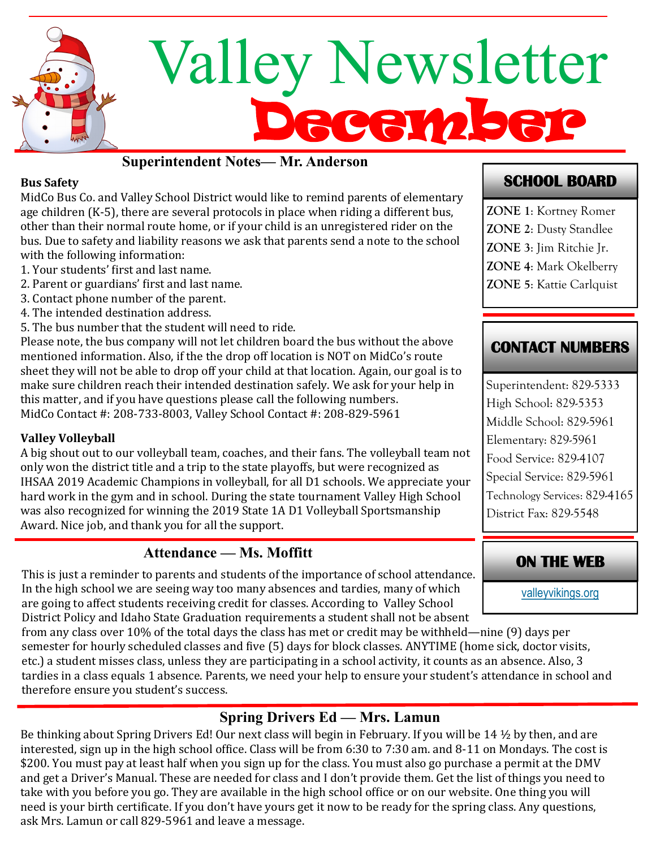

# **Superintendent Notes— Mr. Anderson**

#### **Bus Safety**

MidCo Bus Co. and Valley School District would like to remind parents of elementary age children (K-5), there are several protocols in place when riding a different bus, other than their normal route home, or if your child is an unregistered rider on the bus. Due to safety and liability reasons we ask that parents send a note to the school with the following information:

- 1. Your students' first and last name.
- 2. Parent or guardians' first and last name.
- 3. Contact phone number of the parent.
- 4. The intended destination address.
- 5. The bus number that the student will need to ride.

Please note, the bus company will not let children board the bus without the above mentioned information. Also, if the the drop off location is NOT on MidCo's route sheet they will not be able to drop off your child at that location. Again, our goal is to make sure children reach their intended destination safely. We ask for your help in this matter, and if you have questions please call the following numbers. MidCo Contact #: 208-733-8003, Valley School Contact #: 208-829-5961

#### **Valley Volleyball**

A big shout out to our volleyball team, coaches, and their fans. The volleyball team not only won the district title and a trip to the state playoffs, but were recognized as IHSAA 2019 Academic Champions in volleyball, for all D1 schools. We appreciate your hard work in the gym and in school. During the state tournament Valley High School was also recognized for winning the 2019 State 1A D1 Volleyball Sportsmanship Award. Nice job, and thank you for all the support.

#### **Attendance — Ms. Moffitt**

This is just a reminder to parents and students of the importance of school attendance. In the high school we are seeing way too many absences and tardies, many of which are going to affect students receiving credit for classes. According to Valley School District Policy and Idaho State Graduation requirements a student shall not be absent

from any class over 10% of the total days the class has met or credit may be withheld—nine (9) days per semester for hourly scheduled classes and five (5) days for block classes. ANYTIME (home sick, doctor visits, etc.) a student misses class, unless they are participating in a school activity, it counts as an absence. Also, 3 tardies in a class equals 1 absence. Parents, we need your help to ensure your student's attendance in school and therefore ensure you student's success.

## **Spring Drivers Ed — Mrs. Lamun**

Be thinking about Spring Drivers Ed! Our next class will begin in February. If you will be 14 ½ by then, and are interested, sign up in the high school office. Class will be from 6:30 to 7:30 am. and 8-11 on Mondays. The cost is \$200. You must pay at least half when you sign up for the class. You must also go purchase a permit at the DMV and get a Driver's Manual. These are needed for class and I don't provide them. Get the list of things you need to take with you before you go. They are available in the high school office or on our website. One thing you will need is your birth certificate. If you don't have yours get it now to be ready for the spring class. Any questions, ask Mrs. Lamun or call 829-5961 and leave a message.

## **SCHOOL BOARD**

**ZONE 1**: Kortney Romer **ZONE 2**: Dusty Standlee **ZONE 3**: Jim Ritchie Jr. **ZONE 4**: Mark Okelberry **ZONE 5**: Kattie Carlquist

### **CONTACT NUMBERS**

Superintendent: 829-5333 High School: 829-5353 Middle School: 829-5961 Elementary: 829-5961 Food Service: 829-4107 Special Service: 829-5961 Technology Services: 829-4165 District Fax: 829-5548

#### **ON THE WEB**

[valleyvikings.org](http://www.valleyvikings.org/)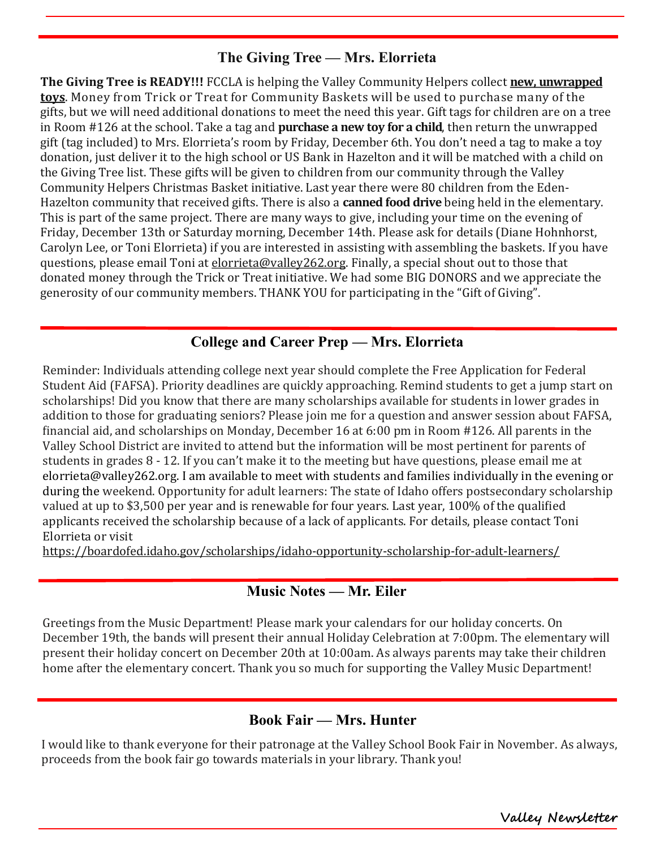#### **The Giving Tree — Mrs. Elorrieta**

**The Giving Tree is READY!!!** FCCLA is helping the Valley Community Helpers collect **new, unwrapped toys**. Money from Trick or Treat for Community Baskets will be used to purchase many of the gifts, but we will need additional donations to meet the need this year. Gift tags for children are on a tree in Room #126 at the school. Take a tag and **purchase a new toy for a child**, then return the unwrapped gift (tag included) to Mrs. Elorrieta's room by Friday, December 6th. You don't need a tag to make a toy donation, just deliver it to the high school or US Bank in Hazelton and it will be matched with a child on the Giving Tree list. These gifts will be given to children from our community through the Valley Community Helpers Christmas Basket initiative. Last year there were 80 children from the Eden-Hazelton community that received gifts. There is also a **canned food drive** being held in the elementary. This is part of the same project. There are many ways to give, including your time on the evening of Friday, December 13th or Saturday morning, December 14th. Please ask for details (Diane Hohnhorst, Carolyn Lee, or Toni Elorrieta) if you are interested in assisting with assembling the baskets. If you have questions, please email Toni at [elorrieta@valley262.org.](mailto:elorrieta@valley262.org) Finally, a special shout out to those that donated money through the Trick or Treat initiative. We had some BIG DONORS and we appreciate the generosity of our community members. THANK YOU for participating in the "Gift of Giving".

#### **College and Career Prep — Mrs. Elorrieta**

Reminder: Individuals attending college next year should complete the Free Application for Federal Student Aid (FAFSA). Priority deadlines are quickly approaching. Remind students to get a jump start on scholarships! Did you know that there are many scholarships available for students in lower grades in addition to those for graduating seniors? Please join me for a question and answer session about FAFSA, financial aid, and scholarships on Monday, December 16 at 6:00 pm in Room #126. All parents in the Valley School District are invited to attend but the information will be most pertinent for parents of students in grades 8 - 12. If you can't make it to the meeting but have questions, please email me at elorrieta@valley262.org. I am available to meet with students and families individually in the evening or during the weekend. Opportunity for adult learners: The state of Idaho offers postsecondary scholarship valued at up to \$3,500 per year and is renewable for four years. Last year, 100% of the qualified applicants received the scholarship because of a lack of applicants. For details, please contact Toni Elorrieta or visit

[https://boardofed.idaho.gov/scholarships/idaho](https://boardofed.idaho.gov/scholarships/idaho-opportunity-scholarship-for-adult-learners/)-opportunity-scholarship-for-adult-learners/

#### **Music Notes — Mr. Eiler**

Greetings from the Music Department! Please mark your calendars for our holiday concerts. On December 19th, the bands will present their annual Holiday Celebration at 7:00pm. The elementary will present their holiday concert on December 20th at 10:00am. As always parents may take their children home after the elementary concert. Thank you so much for supporting the Valley Music Department!

#### **Book Fair — Mrs. Hunter**

I would like to thank everyone for their patronage at the Valley School Book Fair in November. As always, proceeds from the book fair go towards materials in your library. Thank you!

**Valley Newsletter**